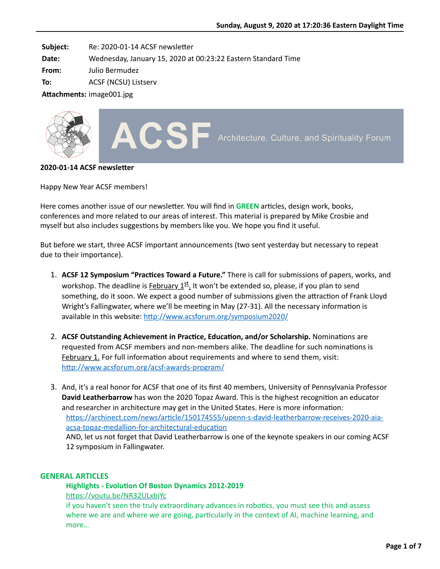**Subject:** Re: 2020-01-14 ACSF newsletter

**Date:** Wednesday, January 15, 2020 at 00:23:22 Eastern Standard Time

**From:** Julio Bermudez

**To:** ACSF (NCSU) Listserv

Attachments: image001.jpg



### **2020-01-14 ACSF newsletter**

Happy New Year ACSF members!

Here comes another issue of our newsletter. You will find in **GREEN** articles, design work, books, conferences and more related to our areas of interest. This material is prepared by Mike Crosbie and myself but also includes suggestions by members like you. We hope you find it useful.

But before we start, three ACSF important announcements (two sent yesterday but necessary to repeat due to their importance).

- 1. ACSF 12 Symposium "Practices Toward a Future." There is call for submissions of papers, works, and workshop. The deadline is February  $1^{st}$ . It won't be extended so, please, if you plan to send something, do it soon. We expect a good number of submissions given the attraction of Frank Lloyd Wright's Fallingwater, where we'll be meeting in May (27-31). All the necessary information is available in this website: http://www.acsforum.org/symposium2020/
- 2. ACSF Outstanding Achievement in Practice, Education, and/or Scholarship. Nominations are requested from ACSF members and non-members alike. The deadline for such nominations is February 1. For full information about requirements and where to send them, visit: http://www.acsforum.org/acsf-awards-program/
- 3. And, it's a real honor for ACSF that one of its first 40 members, University of Pennsylvania Professor **David Leatherbarrow** has won the 2020 Topaz Award. This is the highest recognition an educator and researcher in architecture may get in the United States. Here is more information: https://archinect.com/news/article/150174555/upenn-s-david-leatherbarrow-receives-2020-aiaacsa-topaz-medallion-for-architectural-education AND, let us not forget that David Leatherbarrow is one of the keynote speakers in our coming ACSF 12 symposium in Fallingwater.

# **GENERAL ARTICLES**

# **Highlights - Evolution Of Boston Dynamics 2012-2019**

https://youtu.be/NR32ULxbjYc

if you haven't seen the truly extraordinary advances in robotics, you must see this and assess where we are and where we are going, particularly in the context of AI, machine learning, and more…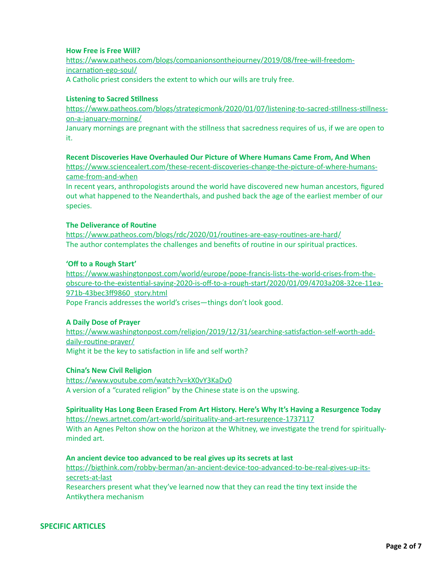# **How Free is Free Will?**

https://www.patheos.com/blogs/companionsonthejourney/2019/08/free-will-freedomincarnation-ego-soul/ A Catholic priest considers the extent to which our wills are truly free.

### **Listening to Sacred Stillness**

https://www.patheos.com/blogs/strategicmonk/2020/01/07/listening-to-sacred-stillness-stillnesson-a-january-morning/

January mornings are pregnant with the stillness that sacredness requires of us, if we are open to it.

### **Recent Discoveries Have Overhauled Our Picture of Where Humans Came From, And When**

https://www.sciencealert.com/these-recent-discoveries-change-the-picture-of-where-humanscame-from-and-when

In recent years, anthropologists around the world have discovered new human ancestors, figured out what happened to the Neanderthals, and pushed back the age of the earliest member of our species.

### **The Deliverance of Routine**

https://www.patheos.com/blogs/rdc/2020/01/routines-are-easy-routines-are-hard/ The author contemplates the challenges and benefits of routine in our spiritual practices.

## **'Off to a Rough Start'**

https://www.washingtonpost.com/world/europe/pope-francis-lists-the-world-crises-from-theobscure-to-the-existential-saying-2020-is-off-to-a-rough-start/2020/01/09/4703a208-32ce-11ea-971b-43bec3ff9860\_story.html

Pope Francis addresses the world's crises—things don't look good.

# **A Daily Dose of Prayer**

https://www.washingtonpost.com/religion/2019/12/31/searching-satisfaction-self-worth-adddaily-routine-prayer/ Might it be the key to satisfaction in life and self worth?

#### **China's New Civil Religion**

https://www.youtube.com/watch?v=kX0vY3KaDv0 A version of a "curated religion" by the Chinese state is on the upswing.

# **Spirituality Has Long Been Erased From Art History. Here's Why It's Having a Resurgence Today**

https://news.artnet.com/art-world/spirituality-and-art-resurgence-1737117 With an Agnes Pelton show on the horizon at the Whitney, we investigate the trend for spirituallyminded art.

#### **An ancient device too advanced to be real gives up its secrets at last**

https://bigthink.com/robby-berman/an-ancient-device-too-advanced-to-be-real-gives-up-itssecrets-at-last

Researchers present what they've learned now that they can read the tiny text inside the Antikythera mechanism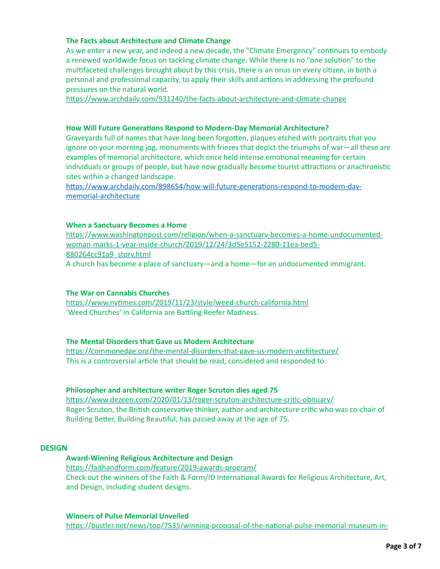# **The Facts about Architecture and Climate Change**

As we enter a new year, and indeed a new decade, the "Climate Emergency" continues to embody a renewed worldwide focus on tackling climate change. While there is no "one solution" to the multifaceted challenges brought about by this crisis, there is an onus on every citizen, in both a personal and professional capacity, to apply their skills and actions in addressing the profound pressures on the natural world.

https://www.archdaily.com/931240/the-facts-about-architecture-and-climate-change

### **How Will Future Generations Respond to Modern-Day Memorial Architecture?**

Graveyards full of names that have long been forgotten, plaques etched with portraits that you ignore on your morning jog, monuments with friezes that depict the triumphs of war—all these are examples of memorial architecture, which once held intense emotional meaning for certain individuals or groups of people, but have now gradually become tourist attractions or anachronistic sites within a changed landscape.

https://www.archdaily.com/898654/how-will-future-generations-respond-to-modern-daymemorial-architecture

### **When a Sanctuary Becomes a Home**

https://www.washingtonpost.com/religion/when-a-sanctuary-becomes-a-home-undocumentedwoman-marks-1-year-inside-church/2019/12/24/3d5e5152-2280-11ea-bed5- 880264cc91a9\_story.html A church has become a place of sanctuary—and a home—for an undocumented immigrant.

# **The War on Cannabis Churches**

https://www.nytimes.com/2019/11/23/style/weed-church-california.html 'Weed Churches' in California are Battling Reefer Madness.

# **The Mental Disorders that Gave us Modern Architecture**

https://commonedge.org/the-mental-disorders-that-gave-us-modern-architecture/ This is a controversial article that should be read, considered and responded to.

# **Philosopher and architecture writer Roger Scruton dies aged 75**

https://www.dezeen.com/2020/01/13/roger-scruton-architecture-critic-obituary/ Roger Scruton, the British conservative thinker, author and architecture critic who was co-chair of Building Better, Building Beautiful, has passed away at the age of 75.

### **DESIGN**

# **Award-Winning Religious Architecture and Design**

https://faithandform.com/feature/2019-awards-program/ Check out the winners of the Faith & Form/ID International Awards for Religious Architecture, Art, and Design, including student designs.

#### **Winners of Pulse Memorial Unveiled**

https://bustler.net/news/top/7535/winning-proposal-of-the-national-pulse-memorial-museum-in-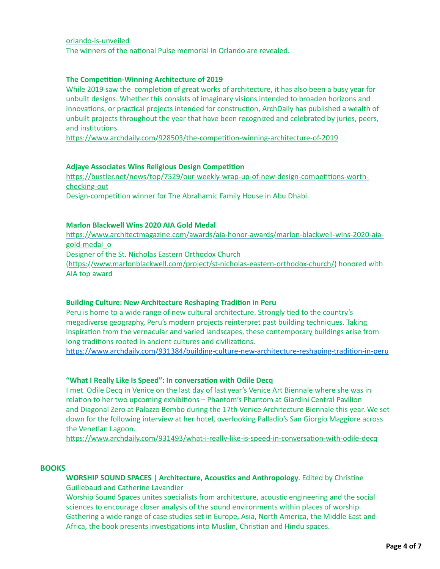#### [orlando-is-unveiled](https://bustler.net/news/top/7535/winning-proposal-of-the-national-pulse-memorial-museum-in-orlando-is-unveiled)

The winners of the national Pulse memorial in Orlando are revealed.

### **The Competition-Winning Architecture of 2019**

While 2019 saw the completion of great works of architecture, it has also been a busy year for unbuilt designs. Whether this consists of imaginary visions intended to broaden horizons and innovations, or practical projects intended for construction, ArchDaily has published a wealth of unbuilt projects throughout the year that have been recognized and celebrated by juries, peers, and institutions

https://www.archdaily.com/928503/the-competition-winning-architecture-of-2019

#### **Adjaye Associates Wins Religious Design Competition**

https://bustler.net/news/top/7529/our-weekly-wrap-up-of-new-design-competitions-worthchecking-out Design-competition winner for The Abrahamic Family House in Abu Dhabi.

### **Marlon Blackwell Wins 2020 AIA Gold Medal**

https://www.architectmagazine.com/awards/aia-honor-awards/marlon-blackwell-wins-2020-aiagold-medal\_o Designer of the St. Nicholas Eastern Orthodox Church (https://www.marlonblackwell.com/project/st-nicholas-eastern-orthodox-church/) honored with AIA top award

#### **Building Culture: New Architecture Reshaping Tradition in Peru**

Peru is home to a wide range of new cultural architecture. Strongly tied to the country's megadiverse geography, Peru's modern projects reinterpret past building techniques. Taking inspiration from the vernacular and varied landscapes, these contemporary buildings arise from long traditions rooted in ancient cultures and civilizations.

https://www.archdaily.com/931384/building-culture-new-architecture-reshaping-tradition-in-peru

#### "What I Really Like Is Speed": In conversation with Odile Decq

I met Odile Decq in Venice on the last day of last year's Venice Art Biennale where she was in relation to her two upcoming exhibitions – Phantom's Phantom at Giardini Central Pavilion and Diagonal Zero at Palazzo Bembo during the 17th Venice Architecture Biennale this year. We set down for the following interview at her hotel, overlooking Palladio's San Giorgio Maggiore across the Venetian Lagoon.

https://www.archdaily.com/931493/what-i-really-like-is-speed-in-conversation-with-odile-decq

#### **BOOKS**

**WORSHIP SOUND SPACES | Architecture, Acoustics and Anthropology**. Edited by Christine Guillebaud and Catherine Lavandier

Worship Sound Spaces unites specialists from architecture, acoustic engineering and the social sciences to encourage closer analysis of the sound environments within places of worship. Gathering a wide range of case studies set in Europe, Asia, North America, the Middle East and Africa, the book presents investigations into Muslim, Christian and Hindu spaces.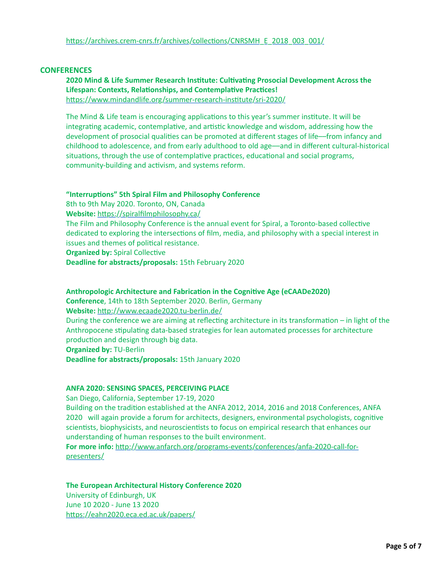# **CONFERENCES**

# **2020 Mind & Life Summer Research Institute: Cultivating Prosocial Development Across the** Lifespan: Contexts, Relationships, and Contemplative Practices! https://www.mindandlife.org/summer-research-institute/sri-2020/

The Mind & Life team is encouraging applications to this year's summer institute. It will be integrating academic, contemplative, and artistic knowledge and wisdom, addressing how the development of prosocial qualities can be promoted at different stages of life—from infancy and childhood to adolescence, and from early adulthood to old age––and in different cultural-historical situations, through the use of contemplative practices, educational and social programs, community-building and activism, and systems reform.

### "Interruptions" 5th Spiral Film and Philosophy Conference

8th to 9th May 2020. Toronto, ON, Canada **Website:** https://spiralfilmphilosophy.ca/ The Film and Philosophy Conference is the annual event for Spiral, a Toronto-based collective dedicated to exploring the intersections of film, media, and philosophy with a special interest in issues and themes of political resistance. **Organized by: Spiral Collective** 

**Deadline for abstracts/proposals:** 15th February 2020

**Anthropologic Architecture and Fabrication in the Cognitive Age (eCAADe2020) Conference**, 14th to 18th September 2020. Berlin, Germany **Website:** http://www.ecaade2020.tu-berlin.de/ During the conference we are aiming at reflecting architecture in its transformation – in light of the Anthropocene stipulating data-based strategies for lean automated processes for architecture production and design through big data. **Organized by:** TU-Berlin **Deadline for abstracts/proposals:** 15th January 2020

# **ANFA 2020: SENSING SPACES, PERCEIVING PLACE**

San Diego, California, September 17-19, 2020 Building on the tradition established at the ANFA 2012, 2014, 2016 and 2018 Conferences, ANFA 2020 will again provide a forum for architects, designers, environmental psychologists, cognitive scientists, biophysicists, and neuroscientists to focus on empirical research that enhances our understanding of human responses to the built environment.

For more info: http://www.anfarch.org/programs-events/conferences/anfa-2020-call-forpresenters/

# **The European Architectural History Conference 2020**

University of Edinburgh, UK June 10 2020 - June 13 2020 https://eahn2020.eca.ed.ac.uk/papers/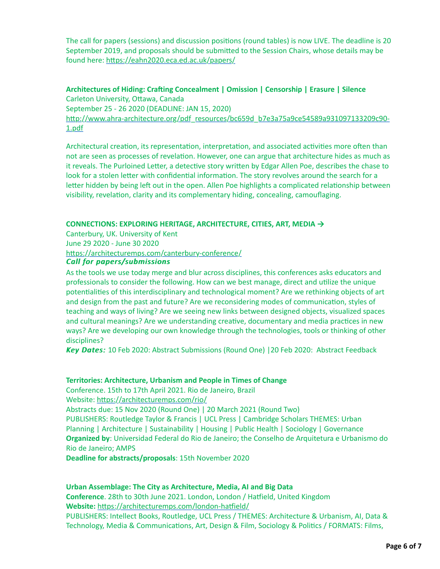The call for papers (sessions) and discussion positions (round tables) is now LIVE. The deadline is 20 September 2019, and proposals should be submitted to the Session Chairs, whose details may be found here: https://eahn2020.eca.ed.ac.uk/papers/

Architectures of Hiding: Crafting Concealment | Omission | Censorship | Erasure | Silence Carleton University, Ottawa, Canada September 25 - 26 2020 (DEADLINE: JAN 15, 2020) http://www.ahra-architecture.org/pdf\_resources/bc659d\_b7e3a75a9ce54589a931097133209c90-1.pdf

Architectural creation, its representation, interpretation, and associated activities more often than not are seen as processes of revelation. However, one can argue that architecture hides as much as it reveals. The Purloined Letter, a detective story written by Edgar Allen Poe, describes the chase to look for a stolen letter with confidential information. The story revolves around the search for a letter hidden by being left out in the open. Allen Poe highlights a complicated relationship between visibility, revelation, clarity and its complementary hiding, concealing, camouflaging.

# **CONNECTIONS: EXPLORING HERITAGE, ARCHITECTURE, CITIES, ART, MEDIA →**

Canterbury, UK. University of Kent June 29 2020 - June 30 2020 https://architecturemps.com/canterbury-conference/

# *Call for papers/submissions Call for papers/submissions*

As the tools we use today merge and blur across disciplines, this conferences asks educators and professionals to consider the following. How can we best manage, direct and utilize the unique potentialities of this interdisciplinary and technological moment? Are we rethinking objects of art and design from the past and future? Are we reconsidering modes of communication, styles of teaching and ways of living? Are we seeing new links between designed objects, visualized spaces and cultural meanings? Are we understanding creative, documentary and media practices in new ways? Are we developing our own knowledge through the technologies, tools or thinking of other disciplines?

*Key Dates: Key Dates:* 10 Feb 2020: Abstract Submissions (Round One) |20 Feb 2020: Abstract Feedback

#### **Territories: Architecture, Urbanism and People in Times of Change**

Conference. 15th to 17th April 2021. Rio de Janeiro, Brazil Website: https://architecturemps.com/rio/ Abstracts due: 15 Nov 2020 (Round One) | 20 March 2021 (Round Two) PUBLISHERS: Routledge Taylor & Francis | UCL Press | Cambridge Scholars THEMES: Urban Planning | Architecture | Sustainability | Housing | Public Health | Sociology | Governance

**Organized by**: Universidad Federal do Rio de Janeiro; the Conselho de Arquitetura e Urbanismo do Rio de Janeiro; AMPS

**Deadline for abstracts/proposals**: 15th November 2020

# **Urban Assemblage: The City as Architecture, Media, AI and Big Data**

**Conference**. 28th to 30th June 2021. London, London / Hatfield, United Kingdom Website: https://architecturemps.com/london-hatfield/ PUBLISHERS: Intellect Books, Routledge, UCL Press / THEMES: Architecture & Urbanism, AI, Data & Technology, Media & Communications, Art, Design & Film, Sociology & Politics / FORMATS: Films,